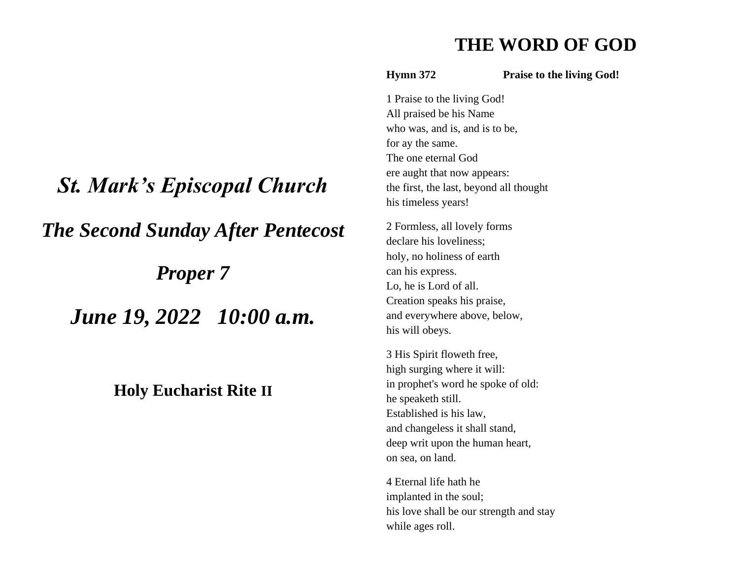# **THE WORD OF GOD**

**Hymn 372 Praise to the living God!** 

1 Praise to the living God! All praised be his Name who was, and is, and is to be, for ay the same. The one eternal God ere aught that now appears: the first, the last, beyond all thought his timeless years!

2 Formless, all lovely forms declare his loveliness; holy, no holiness of earth can his express. Lo, he is Lord of all. Creation speaks his praise, and everywhere above, below, his will obeys.

3 His Spirit floweth free, high surging where it will: in prophet's word he spoke of old: he speaketh still. Established is his law, and changeless it shall stand, deep writ upon the human heart, on sea, on land.

4 Eternal life hath he implanted in the soul; his love shall be our strength and stay while ages roll.

# *St. Mark's Episcopal Church*

*The Second Sunday After Pentecost*

*Proper 7*

*June 19, 2022 10:00 a.m.*

**Holy Eucharist Rite II**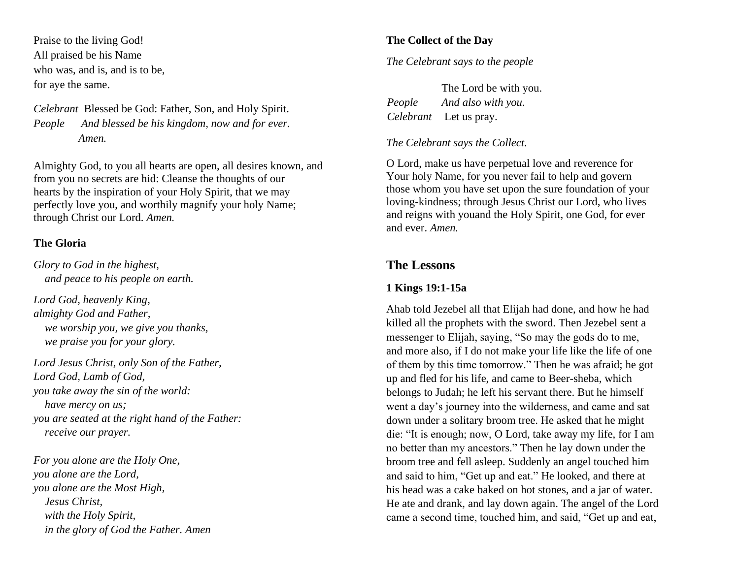Praise to the living God! All praised be his Name who was, and is, and is to be, for aye the same.

*Celebrant* Blessed be God: Father, Son, and Holy Spirit. *People And blessed be his kingdom, now and for ever. Amen.*

Almighty God, to you all hearts are open, all desires known, and from you no secrets are hid: Cleanse the thoughts of our hearts by the inspiration of your Holy Spirit, that we may perfectly love you, and worthily magnify your holy Name; through Christ our Lord. *Amen.*

#### **The Gloria**

*Glory to God in the highest, and peace to his people on earth.*

*Lord God, heavenly King, almighty God and Father, we worship you, we give you thanks, we praise you for your glory.*

*Lord Jesus Christ, only Son of the Father, Lord God, Lamb of God, you take away the sin of the world: have mercy on us; you are seated at the right hand of the Father: receive our prayer.*

*For you alone are the Holy One, you alone are the Lord, you alone are the Most High, Jesus Christ, with the Holy Spirit, in the glory of God the Father. Amen*

#### **The Collect of the Day**

*The Celebrant says to the people*

|        | The Lord be with you.         |
|--------|-------------------------------|
| People | And also with you.            |
|        | <i>Celebrant</i> Let us pray. |

*The Celebrant says the Collect.*

O Lord, make us have perpetual love and reverence for Your holy Name, for you never fail to help and govern those whom you have set upon the sure foundation of your loving-kindness; through Jesus Christ our Lord, who lives and reigns with youand the Holy Spirit, one God, for ever and ever. *Amen.*

#### **The Lessons**

#### **1 Kings 19:1-15a**

Ahab told Jezebel all that Elijah had done, and how he had killed all the prophets with the sword. Then Jezebel sent a messenger to Elijah, saying, "So may the gods do to me, and more also, if I do not make your life like the life of one of them by this time tomorrow." Then he was afraid; he got up and fled for his life, and came to Beer-sheba, which belongs to Judah; he left his servant there. But he himself went a day's journey into the wilderness, and came and sat down under a solitary broom tree. He asked that he might die: "It is enough; now, O Lord, take away my life, for I am no better than my ancestors." Then he lay down under the broom tree and fell asleep. Suddenly an angel touched him and said to him, "Get up and eat." He looked, and there at his head was a cake baked on hot stones, and a jar of water. He ate and drank, and lay down again. The angel of the Lord came a second time, touched him, and said, "Get up and eat,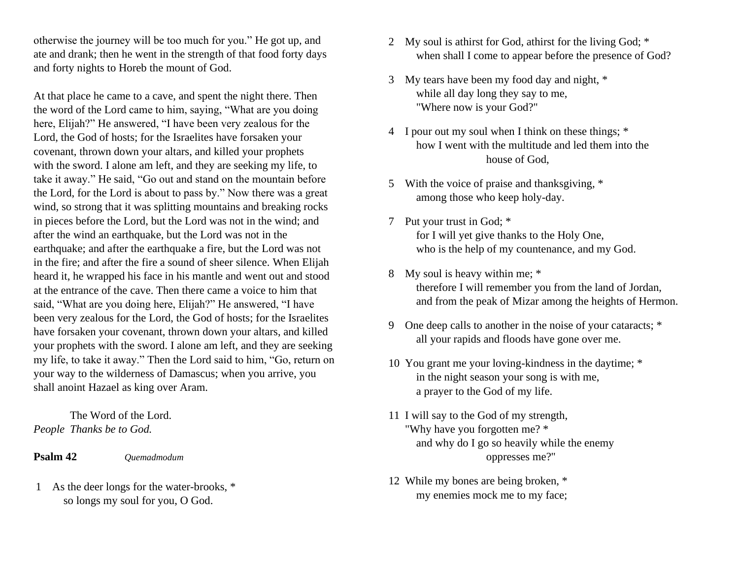otherwise the journey will be too much for you." He got up, and ate and drank; then he went in the strength of that food forty days and forty nights to Horeb the mount of God.

At that place he came to a cave, and spent the night there. Then the word of the Lord came to him, saying, "What are you doing here, Elijah?" He answered, "I have been very zealous for the Lord, the God of hosts; for the Israelites have forsaken your covenant, thrown down your altars, and killed your prophets with the sword. I alone am left, and they are seeking my life, to take it away." He said, "Go out and stand on the mountain before the Lord, for the Lord is about to pass by." Now there was a great wind, so strong that it was splitting mountains and breaking rocks in pieces before the Lord, but the Lord was not in the wind; and after the wind an earthquake, but the Lord was not in the earthquake; and after the earthquake a fire, but the Lord was not in the fire; and after the fire a sound of sheer silence. When Elijah heard it, he wrapped his face in his mantle and went out and stood at the entrance of the cave. Then there came a voice to him that said, "What are you doing here, Elijah?" He answered, "I have been very zealous for the Lord, the God of hosts; for the Israelites have forsaken your covenant, thrown down your altars, and killed your prophets with the sword. I alone am left, and they are seeking my life, to take it away." Then the Lord said to him, "Go, return on your way to the wilderness of Damascus; when you arrive, you shall anoint Hazael as king over Aram.

 The Word of the Lord. *People Thanks be to God.*

**Psalm 42** *Quemadmodum*

1 As the deer longs for the water-brooks, \* so longs my soul for you, O God.

- 2 My soul is athirst for God, athirst for the living God; \* when shall I come to appear before the presence of God?
- 3 My tears have been my food day and night, \* while all day long they say to me, "Where now is your God?"
- 4 I pour out my soul when I think on these things; \* how I went with the multitude and led them into the house of God,
- 5 With the voice of praise and thanksgiving, \* among those who keep holy-day.
- 7 Put your trust in God; \* for I will yet give thanks to the Holy One, who is the help of my countenance, and my God.
- 8 My soul is heavy within me; \* therefore I will remember you from the land of Jordan, and from the peak of Mizar among the heights of Hermon.
- 9 One deep calls to another in the noise of your cataracts; \* all your rapids and floods have gone over me.
- 10 You grant me your loving-kindness in the daytime; \* in the night season your song is with me, a prayer to the God of my life.
- 11 I will say to the God of my strength, "Why have you forgotten me? \* and why do I go so heavily while the enemy oppresses me?"
- 12 While my bones are being broken, \* my enemies mock me to my face;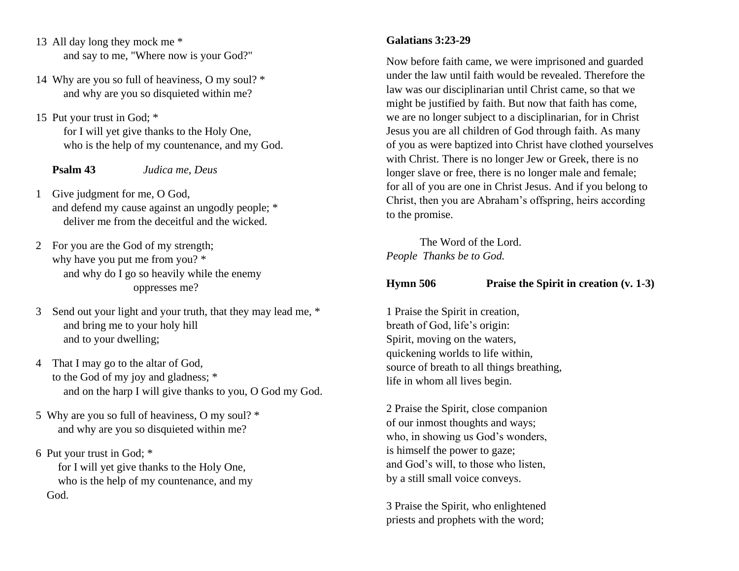- 13 All day long they mock me \* and say to me, "Where now is your God?"
- 14 Why are you so full of heaviness, O my soul? \* and why are you so disquieted within me?
- 15 Put your trust in God; \* for I will yet give thanks to the Holy One, who is the help of my countenance, and my God.

**Psalm 43** *Judica me, Deus*

- 1 Give judgment for me, O God, and defend my cause against an ungodly people; \* deliver me from the deceitful and the wicked.
- 2 For you are the God of my strength; why have you put me from you? \* and why do I go so heavily while the enemy oppresses me?
- 3 Send out your light and your truth, that they may lead me, \* and bring me to your holy hill and to your dwelling;
- 4 That I may go to the altar of God, to the God of my joy and gladness; \* and on the harp I will give thanks to you, O God my God.
- 5 Why are you so full of heaviness, O my soul? \* and why are you so disquieted within me?
- 6 Put your trust in God; \* for I will yet give thanks to the Holy One, who is the help of my countenance, and my God.

#### **Galatians 3:23-29**

Now before faith came, we were imprisoned and guarded under the law until faith would be revealed. Therefore the law was our disciplinarian until Christ came, so that we might be justified by faith. But now that faith has come, we are no longer subject to a disciplinarian, for in Christ Jesus you are all children of God through faith. As many of you as were baptized into Christ have clothed yourselves with Christ. There is no longer Jew or Greek, there is no longer slave or free, there is no longer male and female; for all of you are one in Christ Jesus. And if you belong to Christ, then you are Abraham's offspring, heirs according to the promise.

The Word of the Lord. *People Thanks be to God.*

#### **Hymn 506 Praise the Spirit in creation (v. 1-3)**

1 Praise the Spirit in creation, breath of God, life's origin: Spirit, moving on the waters, quickening worlds to life within, source of breath to all things breathing, life in whom all lives begin.

2 Praise the Spirit, close companion of our inmost thoughts and ways; who, in showing us God's wonders, is himself the power to gaze; and God's will, to those who listen, by a still small voice conveys.

3 Praise the Spirit, who enlightened priests and prophets with the word;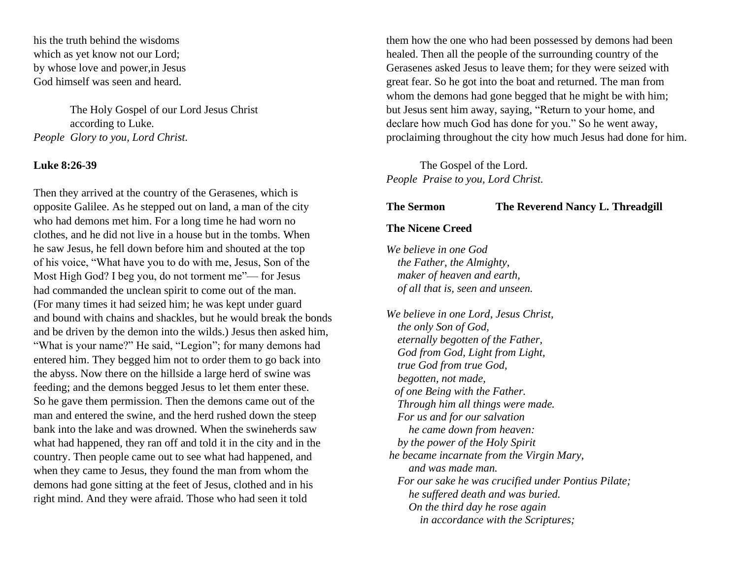his the truth behind the wisdoms which as yet know not our Lord; by whose love and power,in Jesus God himself was seen and heard.

 The Holy Gospel of our Lord Jesus Christ according to Luke. *People Glory to you, Lord Christ.*

#### **Luke 8:26-39**

Then they arrived at the country of the Gerasenes, which is opposite Galilee. As he stepped out on land, a man of the city who had demons met him. For a long time he had worn no clothes, and he did not live in a house but in the tombs. When he saw Jesus, he fell down before him and shouted at the top of his voice, "What have you to do with me, Jesus, Son of the Most High God? I beg you, do not torment me"— for Jesus had commanded the unclean spirit to come out of the man. (For many times it had seized him; he was kept under guard and bound with chains and shackles, but he would break the bonds and be driven by the demon into the wilds.) Jesus then asked him, "What is your name?" He said, "Legion"; for many demons had entered him. They begged him not to order them to go back into the abyss. Now there on the hillside a large herd of swine was feeding; and the demons begged Jesus to let them enter these. So he gave them permission. Then the demons came out of the man and entered the swine, and the herd rushed down the steep bank into the lake and was drowned. When the swineherds saw what had happened, they ran off and told it in the city and in the country. Then people came out to see what had happened, and when they came to Jesus, they found the man from whom the demons had gone sitting at the feet of Jesus, clothed and in his right mind. And they were afraid. Those who had seen it told

them how the one who had been possessed by demons had been healed. Then all the people of the surrounding country of the Gerasenes asked Jesus to leave them; for they were seized with great fear. So he got into the boat and returned. The man from whom the demons had gone begged that he might be with him; but Jesus sent him away, saying, "Return to your home, and declare how much God has done for you." So he went away, proclaiming throughout the city how much Jesus had done for him.

The Gospel of the Lord. *People Praise to you, Lord Christ.*

#### **The Sermon The Reverend Nancy L. Threadgill**

#### **The Nicene Creed**

*We believe in one God the Father, the Almighty, maker of heaven and earth, of all that is, seen and unseen.*

*We believe in one Lord, Jesus Christ, the only Son of God, eternally begotten of the Father, God from God, Light from Light, true God from true God, begotten, not made, of one Being with the Father. Through him all things were made. For us and for our salvation he came down from heaven: by the power of the Holy Spirit he became incarnate from the Virgin Mary, and was made man. For our sake he was crucified under Pontius Pilate; he suffered death and was buried. On the third day he rose again in accordance with the Scriptures;*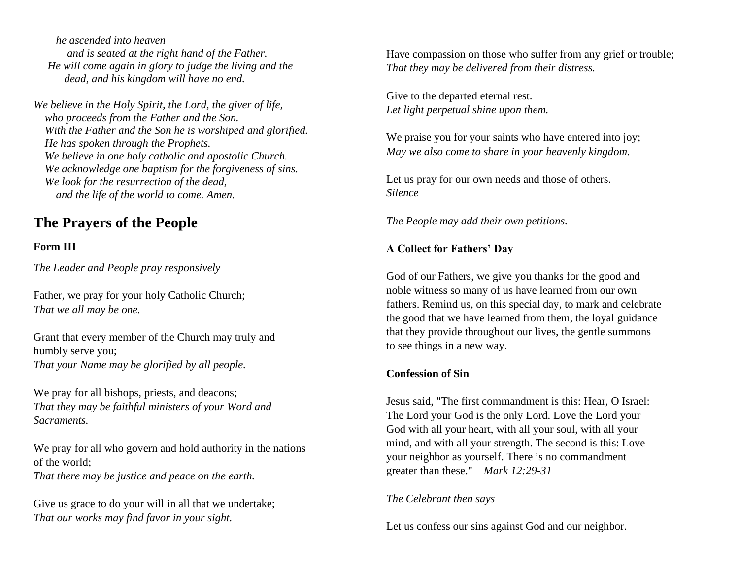*he ascended into heaven and is seated at the right hand of the Father. He will come again in glory to judge the living and the dead, and his kingdom will have no end.* 

*We believe in the Holy Spirit, the Lord, the giver of life, who proceeds from the Father and the Son. With the Father and the Son he is worshiped and glorified. He has spoken through the Prophets. We believe in one holy catholic and apostolic Church. We acknowledge one baptism for the forgiveness of sins. We look for the resurrection of the dead, and the life of the world to come. Amen.*

# **The Prayers of the People**

#### **Form III**

*The Leader and People pray responsively*

Father, we pray for your holy Catholic Church; *That we all may be one.*

Grant that every member of the Church may truly and humbly serve you; *That your Name may be glorified by all people.*

We pray for all bishops, priests, and deacons; *That they may be faithful ministers of your Word and Sacraments.*

We pray for all who govern and hold authority in the nations of the world; *That there may be justice and peace on the earth.*

Give us grace to do your will in all that we undertake; *That our works may find favor in your sight.*

Have compassion on those who suffer from any grief or trouble; *That they may be delivered from their distress.*

Give to the departed eternal rest. *Let light perpetual shine upon them.*

We praise you for your saints who have entered into joy; *May we also come to share in your heavenly kingdom.*

Let us pray for our own needs and those of others. *Silence*

*The People may add their own petitions.*

#### **A Collect for Fathers' Day**

God of our Fathers, we give you thanks for the good and noble witness so many of us have learned from our own fathers. Remind us, on this special day, to mark and celebrate the good that we have learned from them, the loyal guidance that they provide throughout our lives, the gentle summons to see things in a new way.

#### **Confession of Sin**

Jesus said, "The first commandment is this: Hear, O Israel: The Lord your God is the only Lord. Love the Lord your God with all your heart, with all your soul, with all your mind, and with all your strength. The second is this: Love your neighbor as yourself. There is no commandment greater than these." *Mark 12:29-31*

#### *The Celebrant then says*

Let us confess our sins against God and our neighbor.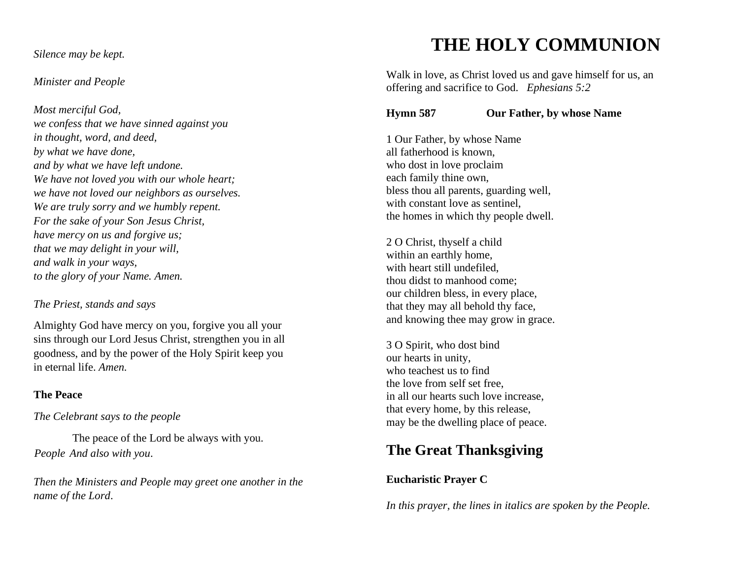*Silence may be kept.*

#### *Minister and People*

*Most merciful God, we confess that we have sinned against you in thought, word, and deed, by what we have done, and by what we have left undone. We have not loved you with our whole heart; we have not loved our neighbors as ourselves. We are truly sorry and we humbly repent. For the sake of your Son Jesus Christ, have mercy on us and forgive us; that we may delight in your will, and walk in your ways, to the glory of your Name. Amen.*

#### *The Priest, stands and says*

Almighty God have mercy on you, forgive you all your sins through our Lord Jesus Christ, strengthen you in all goodness, and by the power of the Holy Spirit keep you in eternal life. *Amen.*

#### **The Peace**

#### *The Celebrant says to the people*

 The peace of the Lord be always with you. *People And also with you*.

*Then the Ministers and People may greet one another in the name of the Lord*.

# **THE HOLY COMMUNION**

Walk in love, as Christ loved us and gave himself for us, an offering and sacrifice to God. *Ephesians 5:2*

#### **Hymn 587 Our Father, by whose Name**

1 Our Father, by whose Name all fatherhood is known, who dost in love proclaim each family thine own, bless thou all parents, guarding well, with constant love as sentinel, the homes in which thy people dwell.

2 O Christ, thyself a child within an earthly home, with heart still undefiled, thou didst to manhood come; our children bless, in every place, that they may all behold thy face, and knowing thee may grow in grace.

3 O Spirit, who dost bind our hearts in unity, who teachest us to find the love from self set free, in all our hearts such love increase, that every home, by this release, may be the dwelling place of peace.

## **The Great Thanksgiving**

#### **Eucharistic Prayer C**

*In this prayer, the lines in italics are spoken by the People.*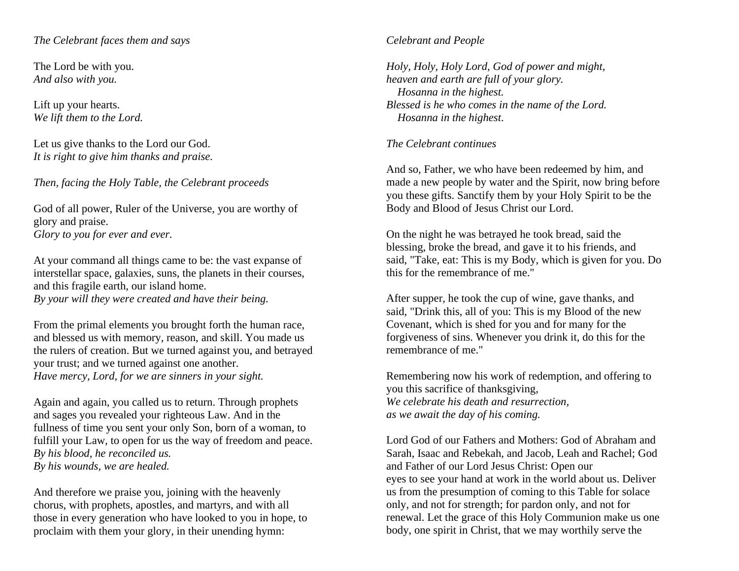#### *The Celebrant faces them and says*

The Lord be with you. *And also with you.*

Lift up your hearts. *We lift them to the Lord.*

Let us give thanks to the Lord our God. *It is right to give him thanks and praise.*

*Then, facing the Holy Table, the Celebrant proceeds*

God of all power, Ruler of the Universe, you are worthy of glory and praise. *Glory to you for ever and ever.*

At your command all things came to be: the vast expanse of interstellar space, galaxies, suns, the planets in their courses, and this fragile earth, our island home. *By your will they were created and have their being.*

From the primal elements you brought forth the human race, and blessed us with memory, reason, and skill. You made us the rulers of creation. But we turned against you, and betrayed your trust; and we turned against one another. *Have mercy, Lord, for we are sinners in your sight.*

Again and again, you called us to return. Through prophets and sages you revealed your righteous Law. And in the fullness of time you sent your only Son, born of a woman, to fulfill your Law, to open for us the way of freedom and peace. *By his blood, he reconciled us. By his wounds, we are healed.*

And therefore we praise you, joining with the heavenly chorus, with prophets, apostles, and martyrs, and with all those in every generation who have looked to you in hope, to proclaim with them your glory, in their unending hymn:

#### *Celebrant and People*

*Holy, Holy, Holy Lord, God of power and might, heaven and earth are full of your glory. Hosanna in the highest. Blessed is he who comes in the name of the Lord. Hosanna in the highest*.

#### *The Celebrant continues*

And so, Father, we who have been redeemed by him, and made a new people by water and the Spirit, now bring before you these gifts. Sanctify them by your Holy Spirit to be the Body and Blood of Jesus Christ our Lord.

On the night he was betrayed he took bread, said the blessing, broke the bread, and gave it to his friends, and said, "Take, eat: This is my Body, which is given for you. Do this for the remembrance of me."

After supper, he took the cup of wine, gave thanks, and said, "Drink this, all of you: This is my Blood of the new Covenant, which is shed for you and for many for the forgiveness of sins. Whenever you drink it, do this for the remembrance of me."

Remembering now his work of redemption, and offering to you this sacrifice of thanksgiving, *We celebrate his death and resurrection, as we await the day of his coming.*

Lord God of our Fathers and Mothers: God of Abraham and Sarah, Isaac and Rebekah, and Jacob, Leah and Rachel; God and Father of our Lord Jesus Christ: Open our eyes to see your hand at work in the world about us. Deliver us from the presumption of coming to this Table for solace only, and not for strength; for pardon only, and not for renewal. Let the grace of this Holy Communion make us one body, one spirit in Christ, that we may worthily serve the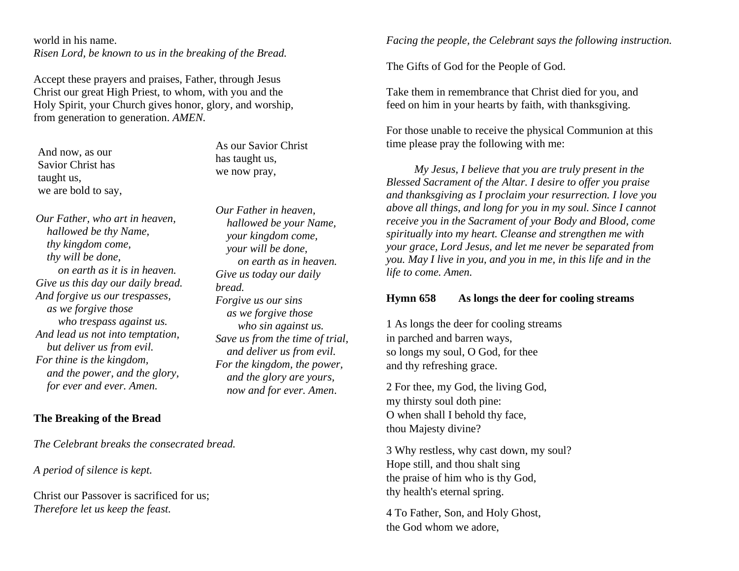world in his name. *Risen Lord, be known to us in the breaking of the Bread.*

Accept these prayers and praises, Father, through Jesus Christ our great High Priest, to whom, with you and the Holy Spirit, your Church gives honor, glory, and worship, from generation to generation. *AMEN.*

And now, as our Savior Christ has taught us, we are bold to say,

*Our Father, who art in heaven, hallowed be thy Name, thy kingdom come, thy will be done, on earth as it is in heaven. Give us this day our daily bread. And forgive us our trespasses, as we forgive those who trespass against us. And lead us not into temptation, but deliver us from evil. For thine is the kingdom, and the power, and the glory, for ever and ever. Amen.*

#### **The Breaking of the Bread**

*The Celebrant breaks the consecrated bread.*

*A period of silence is kept.*

Christ our Passover is sacrificed for us; *Therefore let us keep the feast.*

As our Savior Christ has taught us, we now pray,

*Our Father in heaven, hallowed be your Name, your kingdom come, your will be done, on earth as in heaven. Give us today our daily bread. Forgive us our sins as we forgive those who sin against us. Save us from the time of trial, and deliver us from evil. For the kingdom, the power, and the glory are yours, now and for ever. Amen*.

*Facing the people, the Celebrant says the following instruction.*

The Gifts of God for the People of God.

Take them in remembrance that Christ died for you, and feed on him in your hearts by faith, with thanksgiving.

For those unable to receive the physical Communion at this time please pray the following with me:

 *My Jesus, I believe that you are truly present in the Blessed Sacrament of the Altar. I desire to offer you praise and thanksgiving as I proclaim your resurrection. I love you above all things, and long for you in my soul. Since I cannot receive you in the Sacrament of your Body and Blood, come spiritually into my heart. Cleanse and strengthen me with your grace, Lord Jesus, and let me never be separated from you. May I live in you, and you in me, in this life and in the life to come. Amen.*

#### **Hymn 658 As longs the deer for cooling streams**

1 As longs the deer for cooling streams in parched and barren ways, so longs my soul, O God, for thee and thy refreshing grace.

2 For thee, my God, the living God, my thirsty soul doth pine: O when shall I behold thy face, thou Majesty divine?

3 Why restless, why cast down, my soul? Hope still, and thou shalt sing the praise of him who is thy God, thy health's eternal spring.

4 To Father, Son, and Holy Ghost, the God whom we adore,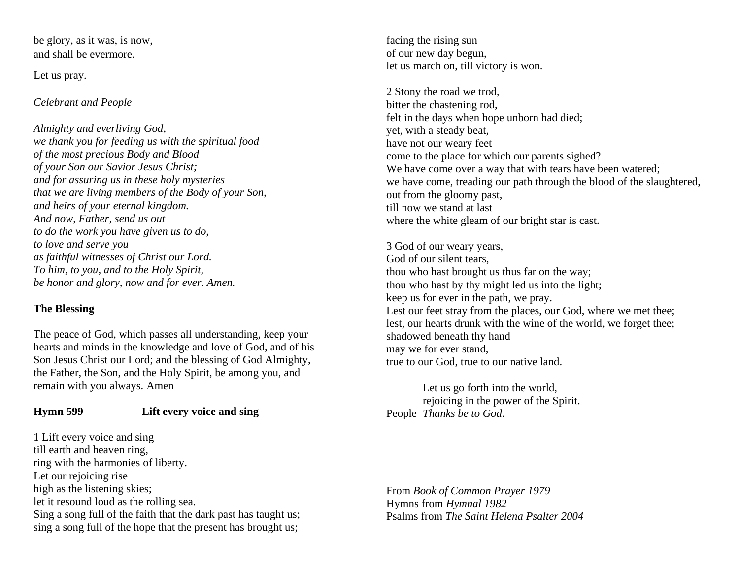be glory, as it was, is now, and shall be evermore.

Let us pray.

*Celebrant and People*

*Almighty and everliving God, we thank you for feeding us with the spiritual food of the most precious Body and Blood of your Son our Savior Jesus Christ; and for assuring us in these holy mysteries that we are living members of the Body of your Son, and heirs of your eternal kingdom. And now, Father, send us out to do the work you have given us to do, to love and serve you as faithful witnesses of Christ our Lord. To him, to you, and to the Holy Spirit, be honor and glory, now and for ever. Amen.*

#### **The Blessing**

The peace of God, which passes all understanding, keep your hearts and minds in the knowledge and love of God, and of his Son Jesus Christ our Lord; and the blessing of God Almighty, the Father, the Son, and the Holy Spirit, be among you, and remain with you always. Amen

### **Hymn 599 Lift every voice and sing**

1 Lift every voice and sing till earth and heaven ring, ring with the harmonies of liberty. Let our rejoicing rise high as the listening skies; let it resound loud as the rolling sea. Sing a song full of the faith that the dark past has taught us; sing a song full of the hope that the present has brought us;

facing the rising sun of our new day begun, let us march on, till victory is won.

2 Stony the road we trod, bitter the chastening rod, felt in the days when hope unborn had died; yet, with a steady beat, have not our weary feet come to the place for which our parents sighed? We have come over a way that with tears have been watered; we have come, treading our path through the blood of the slaughtered, out from the gloomy past, till now we stand at last where the white gleam of our bright star is cast.

3 God of our weary years, God of our silent tears, thou who hast brought us thus far on the way; thou who hast by thy might led us into the light; keep us for ever in the path, we pray. Lest our feet stray from the places, our God, where we met thee; lest, our hearts drunk with the wine of the world, we forget thee; shadowed beneath thy hand may we for ever stand, true to our God, true to our native land.

 Let us go forth into the world, rejoicing in the power of the Spirit. People *Thanks be to God*.

From *Book of Common Prayer 1979* Hymns from *Hymnal 1982* Psalms from *The Saint Helena Psalter 2004*